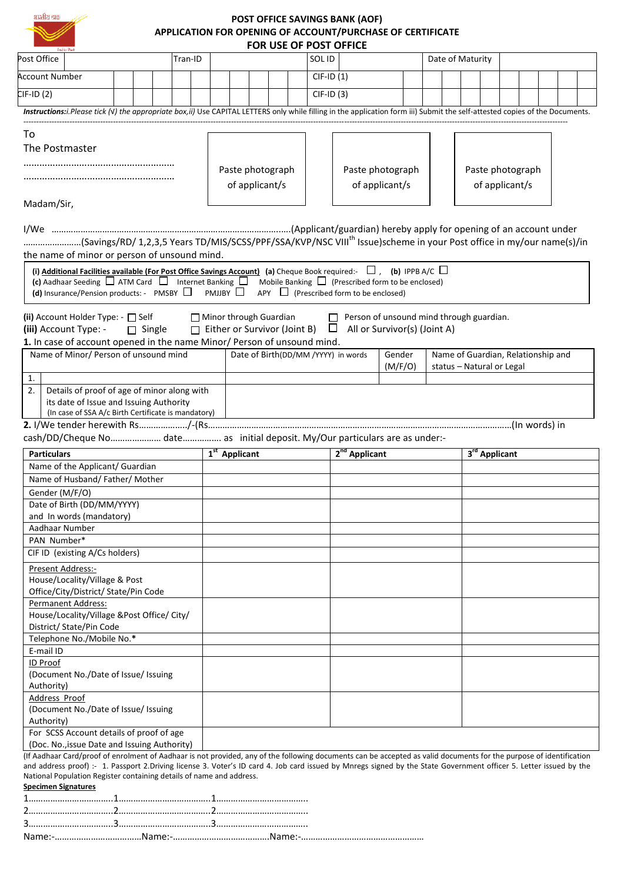| भारतीय खक |  |
|-----------|--|
|           |  |

## **POST OFFICE SAVINGS BANK (AOF) APPLICATION FOR OPENING OF ACCOUNT/PURCHASE OF CERTIFICATE FOR USE OF POST OFFICE**

| <b>India Post</b>                                                                                                                                                             |               |         |                               |  |  |  |             | FUR USE OF PUST OFFICE                                                  |         |  |  |                                    |  |  |  |  |  |
|-------------------------------------------------------------------------------------------------------------------------------------------------------------------------------|---------------|---------|-------------------------------|--|--|--|-------------|-------------------------------------------------------------------------|---------|--|--|------------------------------------|--|--|--|--|--|
| Post Office                                                                                                                                                                   |               | Tran-ID |                               |  |  |  | SOL ID      |                                                                         |         |  |  | Date of Maturity                   |  |  |  |  |  |
| <b>Account Number</b>                                                                                                                                                         |               |         |                               |  |  |  | $CIF-ID(1)$ |                                                                         |         |  |  |                                    |  |  |  |  |  |
|                                                                                                                                                                               |               |         |                               |  |  |  |             |                                                                         |         |  |  |                                    |  |  |  |  |  |
| $CIF-ID(2)$                                                                                                                                                                   |               |         |                               |  |  |  | $CIF-ID(3)$ |                                                                         |         |  |  |                                    |  |  |  |  |  |
| Instructions:i.Please tick (v) the appropriate box, ii) Use CAPITAL LETTERS only while filling in the application form iii) Submit the self-attested copies of the Documents. |               |         |                               |  |  |  |             |                                                                         |         |  |  |                                    |  |  |  |  |  |
|                                                                                                                                                                               |               |         |                               |  |  |  |             |                                                                         |         |  |  |                                    |  |  |  |  |  |
| To                                                                                                                                                                            |               |         |                               |  |  |  |             |                                                                         |         |  |  |                                    |  |  |  |  |  |
| The Postmaster                                                                                                                                                                |               |         |                               |  |  |  |             |                                                                         |         |  |  |                                    |  |  |  |  |  |
|                                                                                                                                                                               |               |         |                               |  |  |  |             |                                                                         |         |  |  |                                    |  |  |  |  |  |
|                                                                                                                                                                               |               |         | Paste photograph              |  |  |  |             | Paste photograph                                                        |         |  |  | Paste photograph                   |  |  |  |  |  |
|                                                                                                                                                                               |               |         | of applicant/s                |  |  |  |             | of applicant/s                                                          |         |  |  | of applicant/s                     |  |  |  |  |  |
|                                                                                                                                                                               |               |         |                               |  |  |  |             |                                                                         |         |  |  |                                    |  |  |  |  |  |
| Madam/Sir,                                                                                                                                                                    |               |         |                               |  |  |  |             |                                                                         |         |  |  |                                    |  |  |  |  |  |
|                                                                                                                                                                               |               |         |                               |  |  |  |             |                                                                         |         |  |  |                                    |  |  |  |  |  |
|                                                                                                                                                                               |               |         |                               |  |  |  |             |                                                                         |         |  |  |                                    |  |  |  |  |  |
| (Savings/RD/ 1,2,3,5 Years TD/MIS/SCSS/PPF/SSA/KVP/NSC VIII <sup>th</sup> Issue)scheme in your Post office in my/our name(s)/in                                               |               |         |                               |  |  |  |             |                                                                         |         |  |  |                                    |  |  |  |  |  |
| the name of minor or person of unsound mind.                                                                                                                                  |               |         |                               |  |  |  |             |                                                                         |         |  |  |                                    |  |  |  |  |  |
| (i) Additional Facilities available (For Post Office Savings Account) (a) Cheque Book required:- $\Box$ , (b) IPPB A/C $\Box$                                                 |               |         |                               |  |  |  |             |                                                                         |         |  |  |                                    |  |  |  |  |  |
| (c) Aadhaar Seeding $\Box$ ATM Card $\Box$ Internet Banking $\Box$ Mobile Banking $\Box$ (Prescribed form to be enclosed)                                                     |               |         |                               |  |  |  |             |                                                                         |         |  |  |                                    |  |  |  |  |  |
| (d) Insurance/Pension products: - PMSBY $\Box$ PMJJBY $\Box$ APY $\Box$ (Prescribed form to be enclosed)                                                                      |               |         |                               |  |  |  |             |                                                                         |         |  |  |                                    |  |  |  |  |  |
|                                                                                                                                                                               |               |         |                               |  |  |  |             |                                                                         |         |  |  |                                    |  |  |  |  |  |
| (ii) Account Holder Type: $-$ Self                                                                                                                                            |               |         | Minor through Guardian        |  |  |  |             | $\Box$ Person of unsound mind through guardian.                         |         |  |  |                                    |  |  |  |  |  |
| (iii) Account Type: -                                                                                                                                                         | $\Box$ Single |         |                               |  |  |  |             | $\Box$ Either or Survivor (Joint B) $\Box$ All or Survivor(s) (Joint A) |         |  |  |                                    |  |  |  |  |  |
| 1. In case of account opened in the name Minor/ Person of unsound mind.                                                                                                       |               |         |                               |  |  |  |             |                                                                         |         |  |  |                                    |  |  |  |  |  |
| Name of Minor/ Person of unsound mind                                                                                                                                         |               |         |                               |  |  |  |             | Date of Birth(DD/MM /YYYY) in words                                     | Gender  |  |  | Name of Guardian, Relationship and |  |  |  |  |  |
|                                                                                                                                                                               |               |         |                               |  |  |  |             |                                                                         | (M/F/O) |  |  | status - Natural or Legal          |  |  |  |  |  |
| 1.                                                                                                                                                                            |               |         |                               |  |  |  |             |                                                                         |         |  |  |                                    |  |  |  |  |  |
| 2.<br>Details of proof of age of minor along with                                                                                                                             |               |         |                               |  |  |  |             |                                                                         |         |  |  |                                    |  |  |  |  |  |
| its date of Issue and Issuing Authority                                                                                                                                       |               |         |                               |  |  |  |             |                                                                         |         |  |  |                                    |  |  |  |  |  |
| (In case of SSA A/c Birth Certificate is mandatory)                                                                                                                           |               |         |                               |  |  |  |             |                                                                         |         |  |  |                                    |  |  |  |  |  |
|                                                                                                                                                                               |               |         |                               |  |  |  |             |                                                                         |         |  |  |                                    |  |  |  |  |  |
|                                                                                                                                                                               |               |         |                               |  |  |  |             |                                                                         |         |  |  |                                    |  |  |  |  |  |
| <b>Particulars</b>                                                                                                                                                            |               |         | $\overline{1^{st}}$ Applicant |  |  |  |             | $2nd$ Applicant                                                         |         |  |  | 3 <sup>rd</sup> Applicant          |  |  |  |  |  |
| Name of the Applicant/ Guardian                                                                                                                                               |               |         |                               |  |  |  |             |                                                                         |         |  |  |                                    |  |  |  |  |  |
| Name of Husband/Father/Mother                                                                                                                                                 |               |         |                               |  |  |  |             |                                                                         |         |  |  |                                    |  |  |  |  |  |
| Gender (M/F/O)                                                                                                                                                                |               |         |                               |  |  |  |             |                                                                         |         |  |  |                                    |  |  |  |  |  |
| Date of Birth (DD/MM/YYYY)                                                                                                                                                    |               |         |                               |  |  |  |             |                                                                         |         |  |  |                                    |  |  |  |  |  |
| and In words (mandatory)                                                                                                                                                      |               |         |                               |  |  |  |             |                                                                         |         |  |  |                                    |  |  |  |  |  |
| Aadhaar Number                                                                                                                                                                |               |         |                               |  |  |  |             |                                                                         |         |  |  |                                    |  |  |  |  |  |
| PAN Number*                                                                                                                                                                   |               |         |                               |  |  |  |             |                                                                         |         |  |  |                                    |  |  |  |  |  |
| CIF ID (existing A/Cs holders)                                                                                                                                                |               |         |                               |  |  |  |             |                                                                         |         |  |  |                                    |  |  |  |  |  |
| Present Address:-                                                                                                                                                             |               |         |                               |  |  |  |             |                                                                         |         |  |  |                                    |  |  |  |  |  |
| House/Locality/Village & Post                                                                                                                                                 |               |         |                               |  |  |  |             |                                                                         |         |  |  |                                    |  |  |  |  |  |
| Office/City/District/ State/Pin Code                                                                                                                                          |               |         |                               |  |  |  |             |                                                                         |         |  |  |                                    |  |  |  |  |  |
| Permanent Address:                                                                                                                                                            |               |         |                               |  |  |  |             |                                                                         |         |  |  |                                    |  |  |  |  |  |
| House/Locality/Village &Post Office/ City/                                                                                                                                    |               |         |                               |  |  |  |             |                                                                         |         |  |  |                                    |  |  |  |  |  |
| District/ State/Pin Code                                                                                                                                                      |               |         |                               |  |  |  |             |                                                                         |         |  |  |                                    |  |  |  |  |  |
| Telephone No./Mobile No.*                                                                                                                                                     |               |         |                               |  |  |  |             |                                                                         |         |  |  |                                    |  |  |  |  |  |
| E-mail ID                                                                                                                                                                     |               |         |                               |  |  |  |             |                                                                         |         |  |  |                                    |  |  |  |  |  |
| <b>ID Proof</b>                                                                                                                                                               |               |         |                               |  |  |  |             |                                                                         |         |  |  |                                    |  |  |  |  |  |
| (Document No./Date of Issue/ Issuing                                                                                                                                          |               |         |                               |  |  |  |             |                                                                         |         |  |  |                                    |  |  |  |  |  |
| Authority)                                                                                                                                                                    |               |         |                               |  |  |  |             |                                                                         |         |  |  |                                    |  |  |  |  |  |
| Address Proof                                                                                                                                                                 |               |         |                               |  |  |  |             |                                                                         |         |  |  |                                    |  |  |  |  |  |
| (Document No./Date of Issue/ Issuing                                                                                                                                          |               |         |                               |  |  |  |             |                                                                         |         |  |  |                                    |  |  |  |  |  |
| Authority)                                                                                                                                                                    |               |         |                               |  |  |  |             |                                                                         |         |  |  |                                    |  |  |  |  |  |
| For SCSS Account details of proof of age                                                                                                                                      |               |         |                               |  |  |  |             |                                                                         |         |  |  |                                    |  |  |  |  |  |
| (Doc. No., issue Date and Issuing Authority)                                                                                                                                  |               |         |                               |  |  |  |             |                                                                         |         |  |  |                                    |  |  |  |  |  |
| (If Aadhaar Card/proof of enrolment of Aadhaar is not provided, any of the following documents can be accepted as valid documents for the purpose of identification           |               |         |                               |  |  |  |             |                                                                         |         |  |  |                                    |  |  |  |  |  |
| and address proof) :- 1. Passport 2.Driving license 3. Voter's ID card 4. Job card issued by Mnregs signed by the State Government officer 5. Letter issued by the            |               |         |                               |  |  |  |             |                                                                         |         |  |  |                                    |  |  |  |  |  |
| National Population Register containing details of name and address.<br><b>Specimen Signatures</b>                                                                            |               |         |                               |  |  |  |             |                                                                         |         |  |  |                                    |  |  |  |  |  |
|                                                                                                                                                                               |               |         |                               |  |  |  |             |                                                                         |         |  |  |                                    |  |  |  |  |  |
|                                                                                                                                                                               |               |         |                               |  |  |  |             |                                                                         |         |  |  |                                    |  |  |  |  |  |
|                                                                                                                                                                               |               |         |                               |  |  |  |             |                                                                         |         |  |  |                                    |  |  |  |  |  |
|                                                                                                                                                                               |               |         |                               |  |  |  |             |                                                                         |         |  |  |                                    |  |  |  |  |  |

Name:-………………………………Name:-………………………………….Name:-……………………………………………